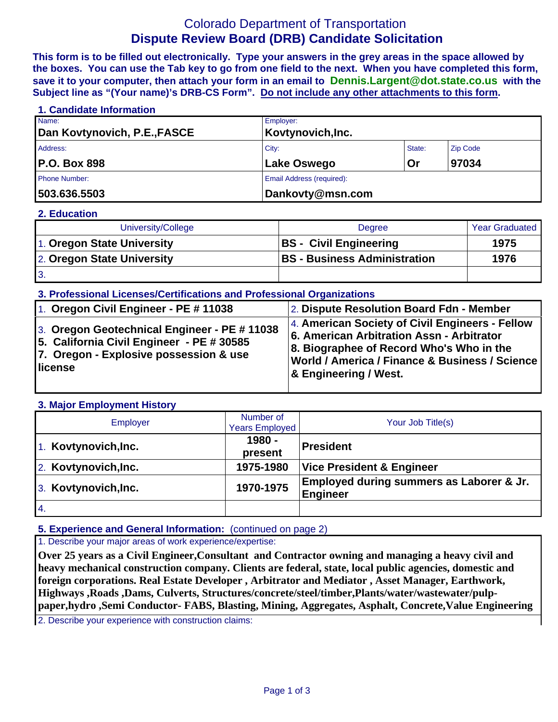# Colorado Department of Transportation **Dispute Review Board (DRB) Candidate Solicitation**

**This form is to be filled out electronically. Type your answers in the grey areas in the space allowed by the boxes. You can use the Tab key to go from one field to the next. When you have completed this form, save it to your computer, then attach your form in an email to Dennis.Largent@dot.state.co.us with the Subject line as "(Your name)'s DRB-CS Form". Do not include any other attachments to this form.**

## **1. Candidate Information**  Name: Employer: Dan Kovtynovich, P.E.,FASCE Kovtynovich, Inc. Address: Zip Code (2008) 2014 12:30 No. 2014 2015 2016 2017 2018 2019 2020 2021 2021 2022 2020 2020 2021 2021 20 P.O. Box 898 **Lake Oswego Or** 97034 Phone Number: **Email Address (required):** Email Address (required): **503.636.5503 Dankovty@msn.com**

#### **2. Education**

| University/College         | <b>Degree</b>                       | <b>Year Graduated</b> |
|----------------------------|-------------------------------------|-----------------------|
| 1. Oregon State University | <b>BS</b> - Civil Engineering       | 1975                  |
| 2. Oregon State University | <b>BS</b> - Business Administration | 1976                  |
| $\mathbf{3}$               |                                     |                       |

#### **3. Professional Licenses/Certifications and Professional Organizations**

| 1. Oregon Civil Engineer - PE # 11038                                                                                                          | 2. Dispute Resolution Board Fdn - Member                                                                                                                                                                                          |
|------------------------------------------------------------------------------------------------------------------------------------------------|-----------------------------------------------------------------------------------------------------------------------------------------------------------------------------------------------------------------------------------|
| 3. Oregon Geotechnical Engineer - PE # 11038<br>5. California Civil Engineer - PE # 30585<br>7. Oregon - Explosive possession & use<br>license | 4. American Society of Civil Engineers - Fellow<br>6. American Arbitration Assn - Arbitrator<br>8. Biographee of Record Who's Who in the<br> World / America / Finance & Business / Science  <br><b>&amp; Engineering / West.</b> |

#### **3. Major Employment History**

| Employer             | Number of<br><b>Years Employed</b> | Your Job Title(s)                                           |  |
|----------------------|------------------------------------|-------------------------------------------------------------|--|
| 1. Kovtynovich, Inc. | 1980 -<br>present                  | <b>President</b>                                            |  |
| 2. Kovtynovich, Inc. | 1975-1980                          | <b>Vice President &amp; Engineer</b>                        |  |
| 3. Kovtynovich, Inc. | 1970-1975                          | Employed during summers as Laborer & Jr.<br><b>Engineer</b> |  |
| 4.                   |                                    |                                                             |  |

#### **5. Experience and General Information:** (continued on page 2)

1. Describe your major areas of work experience/expertise:

**Over 25 years as a Civil Engineer,Consultant and Contractor owning and managing a heavy civil and heavy mechanical construction company. Clients are federal, state, local public agencies, domestic and foreign corporations. Real Estate Developer , Arbitrator and Mediator , Asset Manager, Earthwork, Highways ,Roads ,Dams, Culverts, Structures/concrete/steel/timber,Plants/water/wastewater/pulppaper,hydro ,Semi Conductor- FABS, Blasting, Mining, Aggregates, Asphalt, Concrete,Value Engineering** 

2. Describe your experience with construction claims: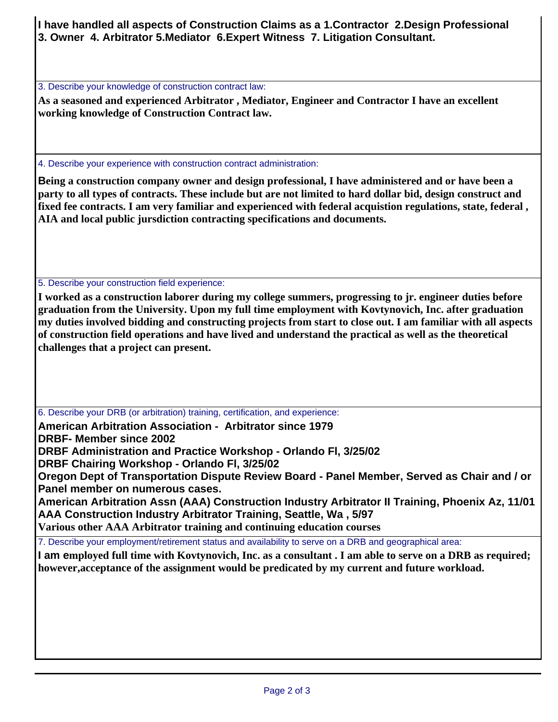**I have handled all aspects of Construction Claims as a 1.Contractor 2.Design Professional 3. Owner 4. Arbitrator 5.Mediator 6.Expert Witness 7. Litigation Consultant.** 

3. Describe your knowledge of construction contract law:

**As a seasoned and experienced Arbitrator , Mediator, Engineer and Contractor I have an excellent working knowledge of Construction Contract law.** 

4. Describe your experience with construction contract administration:

**Being a construction company owner and design professional, I have administered and or have been a party to all types of contracts. These include but are not limited to hard dollar bid, design construct and fixed fee contracts. I am very familiar and experienced with federal acquistion regulations, state, federal , AIA and local public jursdiction contracting specifications and documents.** 

5. Describe your construction field experience:

**I worked as a construction laborer during my college summers, progressing to jr. engineer duties before graduation from the University. Upon my full time employment with Kovtynovich, Inc. after graduation my duties involved bidding and constructing projects from start to close out. I am familiar with all aspects of construction field operations and have lived and understand the practical as well as the theoretical challenges that a project can present.**

6. Describe your DRB (or arbitration) training, certification, and experience:

**American Arbitration Association - Arbitrator since 1979** 

**DRBF- Member since 2002** 

**DRBF Administration and Practice Workshop - Orlando Fl, 3/25/02** 

**DRBF Chairing Workshop - Orlando Fl, 3/25/02** 

**Oregon Dept of Transportation Dispute Review Board - Panel Member, Served as Chair and / or Panel member on numerous cases.** 

**American Arbitration Assn (AAA) Construction Industry Arbitrator II Training, Phoenix Az, 11/01 AAA Construction Industry Arbitrator Training, Seattle, Wa , 5/97**

**Various other AAA Arbitrator training and continuing education courses**

7. Describe your employment/retirement status and availability to serve on a DRB and geographical area:

**I am employed full time with Kovtynovich, Inc. as a consultant . I am able to serve on a DRB as required; however,acceptance of the assignment would be predicated by my current and future workload.**